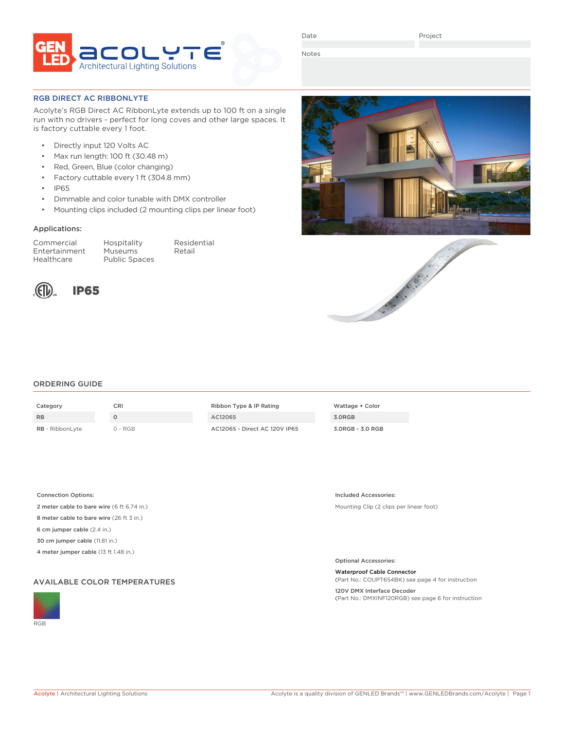

Date

Project

Notes

## RGB DIRECT AC RIBBONLYTE

Acolyte's RGB Direct AC RibbonLyte extends up to 100 ft on a single run with no drivers - perfect for long coves and other large spaces. It is factory cuttable every 1 foot.

- Directly input 120 Volts AC
- Max run length: 100 ft (30.48 m)
- Red, Green, Blue (color changing)
- Factory cuttable every 1 ft (304.8 mm)
- IP65
- Dimmable and color tunable with DMX controller
- Mounting clips included (2 mounting clips per linear foot)

## Applications:

Commercial Hospitality Residential Entertainment Museums Retail Healthcare Public Spaces



## ORDERING GUIDE

| Category               | CRI     | Ribbon Type & IP Rating       | Wattag |
|------------------------|---------|-------------------------------|--------|
| <b>RB</b>              |         | AC12065                       | 3.0RGB |
| <b>RB</b> - RibbonLyte | 0 - RGB | AC12065 - Direct AC 120V IP65 | 3.0RGB |

| Ribbon Type & IP Rating       |
|-------------------------------|
| AC12065                       |
| AC12065 - Direct AC 120V IP6! |



Connection Options:

2 meter cable to bare wire (6 ft 6.74 in.)

8 meter cable to bare wire (26 ft 3 in.)

6 cm jumper cable (2.4 in.)

30 cm jumper cable (11.81 in.)

4 meter jumper cable (13 ft 1.48 in.)

## AVAILABLE COLOR TEMPERATURES







Mounting Clip (2 clips per linear foot)

Optional Accessories:

Included Accessories:

Waterproof Cable Connector

(Part No.: COUPT654BK) see page 4 for instruction 120V DMX Interface Decoder

(Part No.: DMXINF120RGB) see page 6 for instruction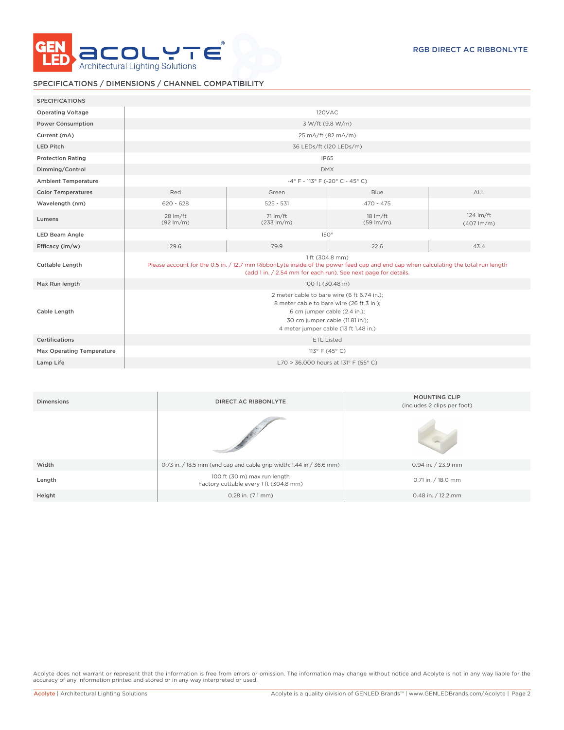

# SPECIFICATIONS / DIMENSIONS / CHANNEL COMPATIBILITY

| <b>SPECIFICATIONS</b>      |                                                                                                                                                                                                                         |                                    |                                                                                                                              |                                              |
|----------------------------|-------------------------------------------------------------------------------------------------------------------------------------------------------------------------------------------------------------------------|------------------------------------|------------------------------------------------------------------------------------------------------------------------------|----------------------------------------------|
| <b>Operating Voltage</b>   |                                                                                                                                                                                                                         | 120VAC                             |                                                                                                                              |                                              |
| <b>Power Consumption</b>   | 3 W/ft (9.8 W/m)                                                                                                                                                                                                        |                                    |                                                                                                                              |                                              |
| Current (mA)               | 25 mA/ft (82 mA/m)                                                                                                                                                                                                      |                                    |                                                                                                                              |                                              |
| <b>LED Pitch</b>           | 36 LEDs/ft (120 LEDs/m)                                                                                                                                                                                                 |                                    |                                                                                                                              |                                              |
| <b>Protection Rating</b>   | <b>IP65</b>                                                                                                                                                                                                             |                                    |                                                                                                                              |                                              |
| Dimming/Control            | <b>DMX</b>                                                                                                                                                                                                              |                                    |                                                                                                                              |                                              |
| <b>Ambient Temperature</b> | $-4^{\circ}$ F - 113° F (-20° C - 45° C)                                                                                                                                                                                |                                    |                                                                                                                              |                                              |
| <b>Color Temperatures</b>  | Red                                                                                                                                                                                                                     | Green                              | Blue                                                                                                                         | <b>ALL</b>                                   |
| Wavelength (nm)            | $620 - 628$                                                                                                                                                                                                             | $525 - 531$                        | $470 - 475$                                                                                                                  |                                              |
| Lumens                     | 28 lm/ft<br>$(92 \, \text{Im/m})$                                                                                                                                                                                       | 71 lm/ft<br>$(233 \, \text{Im/m})$ | $18 \, \text{Im/ft}$<br>$(59 \text{ lm/m})$                                                                                  | 124 lm/ft<br>$(407 \, \text{Im/m})$          |
| <b>LED Beam Angle</b>      | $150^\circ$                                                                                                                                                                                                             |                                    |                                                                                                                              |                                              |
| Efficacy (lm/w)            | 29.6                                                                                                                                                                                                                    | 79.9                               | 22.6                                                                                                                         | 43.4                                         |
| <b>Cuttable Length</b>     | 1 ft (304.8 mm)<br>Please account for the 0.5 in. / 12.7 mm RibbonLyte inside of the power feed cap and end cap when calculating the total run length<br>(add 1 in. / 2.54 mm for each run). See next page for details. |                                    |                                                                                                                              |                                              |
| Max Run length             | 100 ft (30.48 m)                                                                                                                                                                                                        |                                    |                                                                                                                              |                                              |
| Cable Length               | 2 meter cable to bare wire (6 ft 6.74 in.);<br>8 meter cable to bare wire (26 ft 3 in.);<br>6 cm jumper cable (2.4 in.);<br>30 cm jumper cable (11.81 in.);<br>4 meter jumper cable (13 ft 1.48 in.)                    |                                    |                                                                                                                              |                                              |
| <b>Certifications</b>      | <b>ETL Listed</b>                                                                                                                                                                                                       |                                    |                                                                                                                              |                                              |
| Max Operating Temperature  | 113° F (45° C)                                                                                                                                                                                                          |                                    |                                                                                                                              |                                              |
| Lamp Life                  | L70 > 36,000 hours at 131° F (55° C)                                                                                                                                                                                    |                                    |                                                                                                                              |                                              |
|                            |                                                                                                                                                                                                                         |                                    |                                                                                                                              |                                              |
| <b>Dimensions</b>          |                                                                                                                                                                                                                         | <b>DIRECT AC RIBBONLYTE</b>        | $\mathcal{L}^{\text{c}}$ and the contract of the contract of the contract of the contract of the contract of the contract of | <b>MOUNTING CLIP</b><br>$\sim$ $\sim$ $\sim$ |

| <b>PILICISIVIIS</b> | <b>DIRECT AC RIBBONETTE</b>                                            | (includes 2 clips per foot) |  |
|---------------------|------------------------------------------------------------------------|-----------------------------|--|
|                     |                                                                        |                             |  |
| Width               | 0.73 in. / 18.5 mm (end cap and cable grip width: 1.44 in / 36.6 mm)   | 0.94 in. / 23.9 mm          |  |
| Length              | 100 ft (30 m) max run length<br>Factory cuttable every 1 ft (304.8 mm) | 0.71 in. / 18.0 mm          |  |
| Height              | $0.28$ in. $(7.1$ mm)                                                  | 0.48 in. $/$ 12.2 mm        |  |

Acolyte does not warrant or represent that the information is free from errors or omission. The information may change without notice and Acolyte is not in any way liable for the accuracy of any information printed and stored or in any way interpreted or used.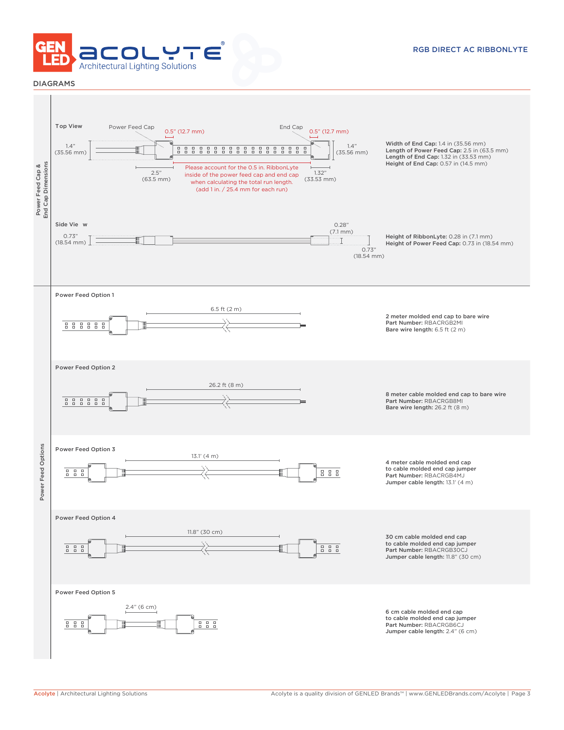

## DIAGRAMS

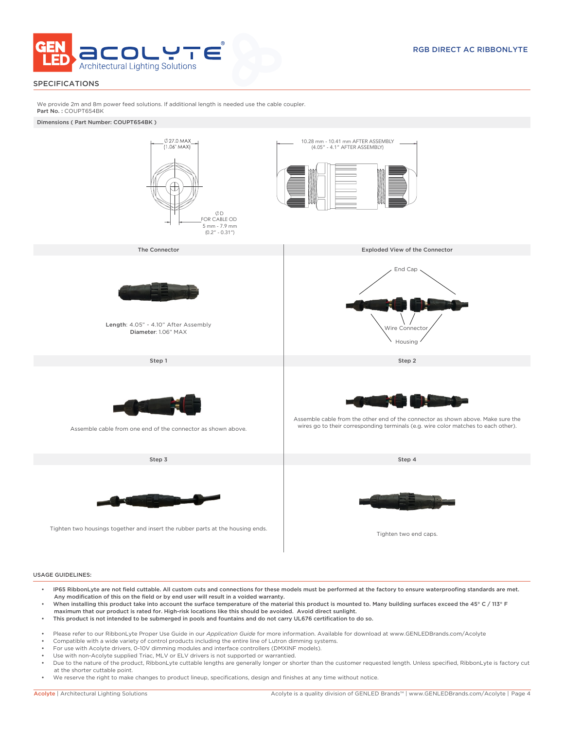

## SPECIFICATIONS

We provide 2m and 8m power feed solutions. If additional length is needed use the cable coupler. Part No.: COUPT654BK

Dimensions ( Part Number: COUPT654BK )



### USAGE GUIDELINES:

- IP65 RibbonLyte are not field cuttable. All custom cuts and connections for these models must be performed at the factory to ensure waterproofing standards are met. Any modification of this on the field or by end user will result in a voided warranty.
- When installing this product take into account the surface temperature of the material this product is mounted to. Many building surfaces exceed the 45° C / 113° F maximum that our product is rated for. High-risk locations like this should be avoided. Avoid direct sunlight.
- This product is not intended to be submerged in pools and fountains and do not carry UL676 certification to do so.
- Please refer to our RibbonLyte Proper Use Guide in our *Application Guide* for more information. Available for download at www.GENLEDBrands.com/Acolyte
- Compatible with a wide variety of control products including the entire line of Lutron dimming systems.
- For use with Acolyte drivers, 0-10V dimming modules and interface controllers (DMXINF models).
- Use with non-Acolyte supplied Triac, MLV or ELV drivers is not supported or warrantied.
- Due to the nature of the product, RibbonLyte cuttable lengths are generally longer or shorter than the customer requested length. Unless specified, RibbonLyte is factory cut at the shorter cuttable point.
- We reserve the right to make changes to product lineup, specifications, design and finishes at any time without notice.